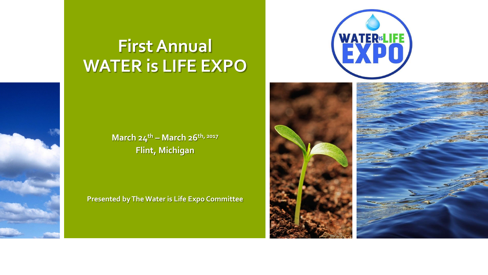# **First Annual WATER is LIFE EXPO**

**March 24th – March 26th, 2017 Flint, Michigan**

**Presented by The Water is Life Expo Committee** 





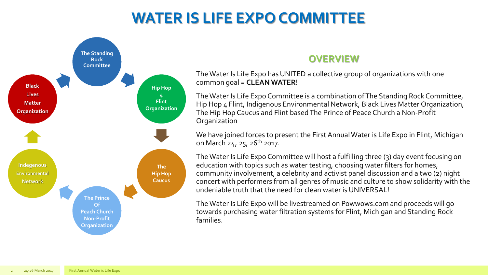## **WATER IS LIFE EXPO COMMITTEE**



### **OVERVIEW**

The Water Is Life Expo has UNITED a collective group of organizations with one common goal = **CLEAN WATER**!

The Water Is Life Expo Committee is a combination of The Standing Rock Committee, Hip Hop 4 Flint, Indigenous Environmental Network, Black Lives Matter Organization, The Hip Hop Caucus and Flint based The Prince of Peace Church a Non-Profit **Organization** 

We have joined forces to present the First Annual Water is Life Expo in Flint, Michigan on March 24, 25, 26<sup>th</sup> 2017.

The Water Is Life Expo Committee will host a fulfilling three (3) day event focusing on education with topics such as water testing, choosing water filters for homes, community involvement, a celebrity and activist panel discussion and a two (2) night concert with performers from all genres of music and culture to show solidarity with the undeniable truth that the need for clean water is UNIVERSAL!

The Water Is Life Expo will be livestreamed on Powwows.com and proceeds will go towards purchasing water filtration systems for Flint, Michigan and Standing Rock families.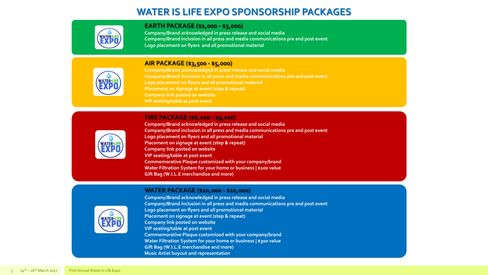### **WATER IS LIFE EXPO SPONSORSHIP PACKAGES**

| <b>TER</b> |
|------------|
|            |
|            |

#### **EARTH PACKAGE (\$1,000 - \$3,000)**

**Company/Brand acknowledged in press release and social media Company/Brand inclusion in all press and media communications pre and post event Logo placement on flyers and all promotional material**



#### **AIR PACKAGE (\$3,500 - \$5,000)**

**Company/Brand acknowledged in press release and social media Company/Brand inclusion in all press and media communications pre and post event Logo placement on flyers and all promotional material Placement on signage at event (step & repeat) Company link posted on website VIP seating/table at post event** 

#### **FIRE PACKAGE (\$6,000 - \$9,000)**



**Company/Brand acknowledged in press release and social media Company/Brand inclusion in all press and media communications pre and post event Logo placement on flyers and all promotional material Placement on signage at event (step & repeat) Company link posted on website VIP seating/table at post event Commemorative Plaque customized with your company/brand Water Filtration System for your home or business | \$100 value Gift Bag (W.I.L.E merchandise and more)**

#### **WATER PACKAGE (\$10,000 - \$20,000)**



**Company/Brand acknowledged in press release and social media Company/Brand inclusion in all press and media communications pre and post event Logo placement on flyers and all promotional material Placement on signage at event (step & repeat) Company link posted on website VIP seating/table at post event Commemorative Plaque customized with your company/brand Water Filtration System for your home or business | \$300 value Gift Bag (W.I.L.E merchandise and more) Music Artist buyout and representation**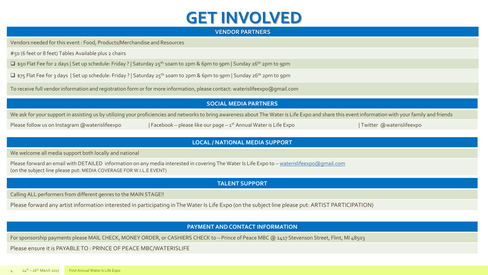## **GET INVOLVED**

#### **VENDOR PARTNERS**

Vendors needed for this event : Food, Products/Merchandise and Resources

#50 (6 feet or 8 feet) Tables Available plus 2 chairs

 $\Box$  \$50 Flat Fee for 2 days | Set up schedule: Friday ? | Saturday 25<sup>th</sup> 10am to 2pm & 6pm to 9pm | Sunday 26<sup>th</sup> 2pm to 9pm

 $\Box$  \$75 Flat Fee for 3 days | Set up schedule: Friday ? | Saturday 25<sup>th</sup> 10am to 2pm & 6pm to 9pm | Sunday 26<sup>th</sup> 2pm to 9pm

To receive full vendor information and registration form or for more information, please contact: waterislifeexpo@gmail.com

#### **SOCIAL MEDIA PARTNERS**

We ask for your support in assisting us by utilizing your proficiencies and networks to bring awareness about The Water is Life Expo and share this event information with your family and friends

Please follow us on Instagram @waterislifeexpo | Facebook – please like our page –  $1^{st}$  Annual Water is Life Expo

| Twitter @waterislifeexpo

#### **LOCAL / NATIONAL MEDIA SUPPORT**

We welcome all media support both locally and national

Please forward an email with DETAILED information on any media interested in covering The Water Is Life Expo to - [waterislifeexpo@gmail.com](mailto:waterislifeexpo@gmail.com) (on the subject line please put: MEDIA COVERAGE FOR W.I.L.E EVENT)

#### **TALENT SUPPORT**

Calling ALL performers from different genres to the MAIN STAGE!!

Please forward any artist information interested in participating in The Water Is Life Expo (on the subject line please put: ARTIST PARTICIPATION)

#### **PAYMENT AND CONTACT INFORMATION**

For sponsorship payments please MAIL CHECK, MONEY ORDER, or CASHIERS CHECK to - Prince of Peace MBC @ 1417 Stevenson Street, Flint, MI 48503

Please ensure it is PAYABLE TO : PRINCE OF PEACE MBC/WATERISLIFE